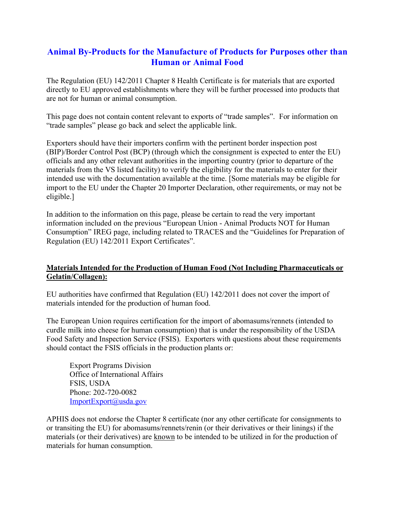## **Animal By-Products for the Manufacture of Products for Purposes other than Human or Animal Food**

The Regulation (EU) 142/2011 Chapter 8 Health Certificate is for materials that are exported directly to EU approved establishments where they will be further processed into products that are not for human or animal consumption.

This page does not contain content relevant to exports of "trade samples". For information on "trade samples" please go back and select the applicable link.

Exporters should have their importers confirm with the pertinent border inspection post (BIP)/Border Control Post (BCP) (through which the consignment is expected to enter the EU) officials and any other relevant authorities in the importing country (prior to departure of the materials from the VS listed facility) to verify the eligibility for the materials to enter for their intended use with the documentation available at the time. [Some materials may be eligible for import to the EU under the Chapter 20 Importer Declaration, other requirements, or may not be eligible.]

In addition to the information on this page, please be certain to read the very important information included on the previous "European Union - Animal Products NOT for Human Consumption" IREG page, including related to TRACES and the "Guidelines for Preparation of Regulation (EU) 142/2011 Export Certificates".

## **Materials Intended for the Production of Human Food (Not Including Pharmaceuticals or Gelatin/Collagen):**

EU authorities have confirmed that Regulation (EU) 142/2011 does not cover the import of materials intended for the production of human food.

The European Union requires certification for the import of abomasums/rennets (intended to curdle milk into cheese for human consumption) that is under the responsibility of the USDA Food Safety and Inspection Service (FSIS). Exporters with questions about these requirements should contact the FSIS officials in the production plants or:

Export Programs Division Office of International Affairs FSIS, USDA Phone: 202-720-0082 [ImportExport@usda.gov](mailto:ImportExport@usda.gov)

APHIS does not endorse the Chapter 8 certificate (nor any other certificate for consignments to or transiting the EU) for abomasums/rennets/renin (or their derivatives or their linings) if the materials (or their derivatives) are known to be intended to be utilized in for the production of materials for human consumption.